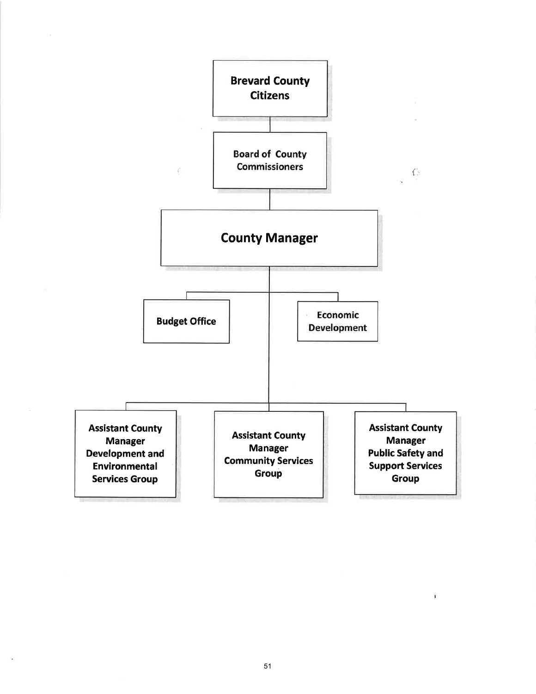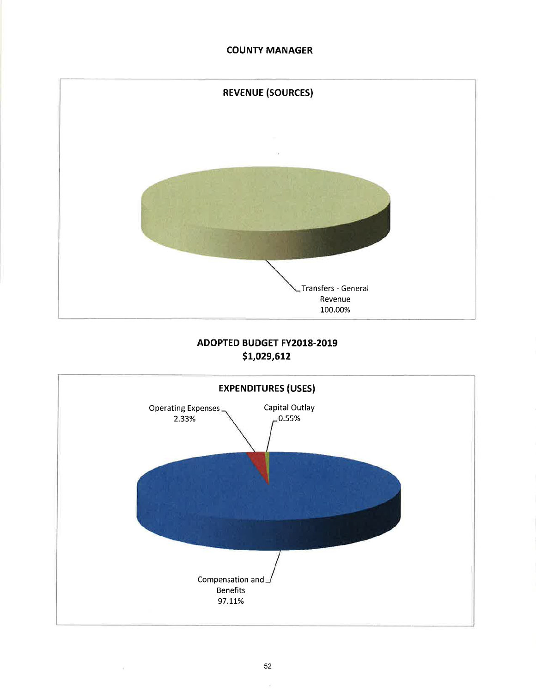## COUNTY MANAGER



# ADOPTED BUDGET FY2018-2019 5L,O29,6L2



×.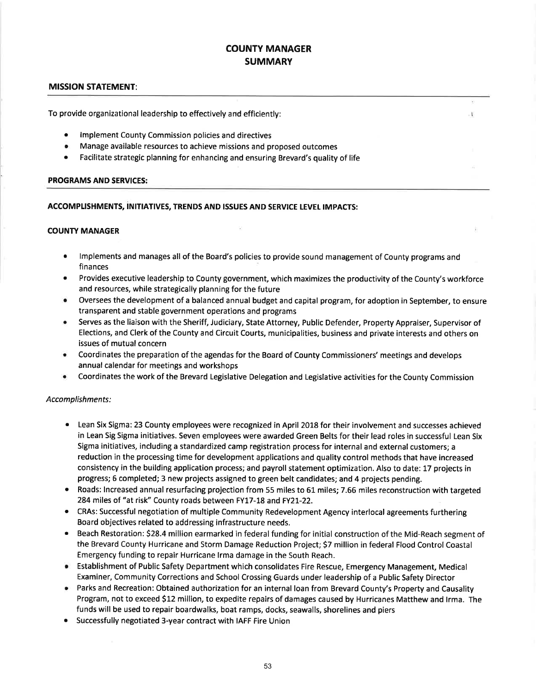## COUNTY MANAGER **SUMMARY**

 $\mathbf{I}$  .

### MISSION STATEMENT:

To provide organizational leadership to effectively arrd efficiently:

- **Implement County Commission policies and directives**
- . Manage available resources to achieve missions and proposed outcomes
- Facilitate strategic planning for enhancing and ensuring Brevard's quality of life

#### PROGRAMS AND SERVICES:

#### ACCOMPLISHMENTS, INITIATIVES, TRENDS AND ISSUES AND SERVICE LEVEL IMPACTS:

### COUNTY MANAGER

- lmplements and manages all of the Board's policies to provide sound management of County programs and finances a
- Provides executive leadership to County government, which maximizes the productivity of the County's workforce and resources, while strategically planning for the future a
- Oversees the development of a balanced annual budget and capital program, for adoption in September, to ensure transparent and stable government operations and programs  $\bullet$
- Serves as the liaison with the Sheriff, Judiciary, State Attorney, Public Defender, Property Appraiser, Supervisor of Elections, and Clerk of the County and Circuit Courts, municipalities, business and private interests and others on issues of mutual concern a
- Coordinates the preparation of the agendas for the Board of County Commissioners' meetings and develops annual calendar for meetings and workshops a
- Coordinates the work of the Brevard Legislative Delegation and Legislative activities for the County Commission a

#### Accomplishments:

- Lean Six Sigma: 23 County employees were recognized in April 2018 for their involvement and successes achieved in Lean Sig Sigma initiatives. Seven employees were awarded Green Belts for their lead roles in successful Lean Six Sigma initiatives, including a standardized camp registration process for internal and external customers; a reduction in the processing time for development applications and quality control methods that have increased consistency in the building application process; and payroll statement optimization. Also to date: 17 projects in progress; 6 completed; 3 new projects assigned to green belt candidates; and 4 projects pending.
- Roads: Increased annual resurfacing projection from 55 miles to 61 miles; 7.66 miles reconstruction with targeted 284 miles of "at risk" County roads between FY17-18 and FY2l-22.
- o CRAs: Successful negotiation of multiple Community Redevelopment Agency interlocal agreements furthering Board objectives related to addressing infrastructure needs.
- **•** Beach Restoration: \$28.4 million earmarked in federal funding for initial construction of the Mid-Reach segment of the Brevard County Hurricane and Storm Damage Reduction Project; 57 million in federal Flood Control Coastal Emergency funding to repair Hurricane lrma damage in the South Reach.
- . Establishment of Public Safety Department which consolidates Fire Rescue, Emergency Management, Medical Examiner, Community Corrections and School Crossing Guards under leadership of a Public Safety Director
- o Parks and Recreation:Obtained authorization for an internal loan from Brevard County's Property and Causality Program, not to exceed \$12 million, to expedite repairs of damages caused by Hurricanes Matthew and lrma. The funds will be used to repair boardwalks, boat ramps, docks, seawalls, shorelines and piers
- **•** Successfully negotiated 3-year contract with IAFF Fire Union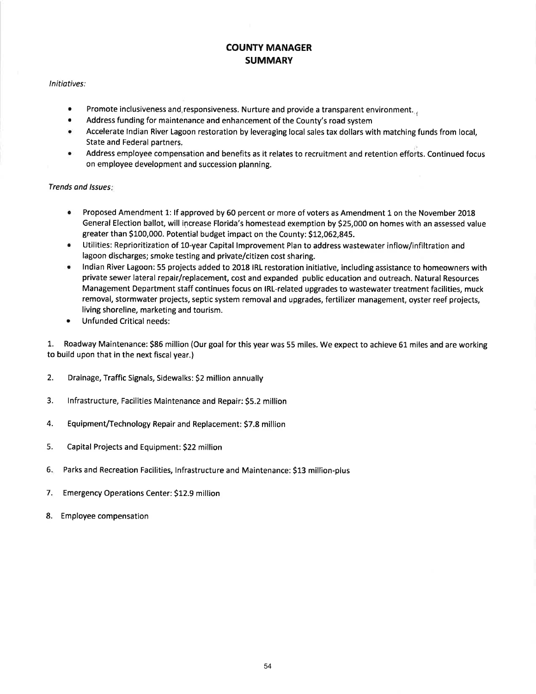## COUNTY MANAGER **SUMMARY**

#### lnitiatives:

- a Promote inclusiveness and responsiveness. Nurture and provide a transparent environment...
- a Address funding for maintenance and enhancement of the County's road system
- $\bullet$ Accelerate lndian River Lagoon restoration by leveraging local sales tax dollars with matching funds from local, State and Federal partners,
- Address employee compensation and benefits as it relates to recruitment and retention efforts. Continued focus on employee development and succession planning. a

#### Trends and lssues

- a Proposed Amendment 1: lf approved by 60 percent or more of voters as Amendment 1 on the November 2018 General Election ballot, will increase Florida's homestead exemption by \$25,000 on homes with an assessed value greater than \$100,000. Potential budget impact on the County: \$12,062,845.
- $\bullet$ Utilities: Reprioritization of 10-year Capital lmprovement Plan to address wastewater inflow/infiltration and lagoon discharges; smoke testing and private/citizen cost sharing.
- lndian River Lagoon: 55 projects added to 2018 IRL restoration initiative, including assistance to homeowners with private sewer lateral repair/replacement, cost and expanded public education and outreach. Natural Resources Management Department staff continues focus on IRl-related upgrades to wastewater treatment facilities, muck removal, stormwater projects, septic system removal and upgrades, fertilizer management, oyster reef projects, living shoreline, marketing and tourism. a
- a Unfunded Critical needs:

1. Roadway Maintenance: 586 million (Our goal for this year was 55 miles. We expect to achieve 61 miles and are working to build upon that in the next fiscal year.)

- 2. Drainage, Traffic Signals, Sidewalks: 52 million annually
- 3. lnfrastructure, Facilities Maintenance and Repair: SS.Z million
- 4. Equipment/Technology Repair and Replacement: 57.8 million
- 5. Capital Projects and Equipment: S22 million
- Parks and Recreation Facilities, lnfrastructure and Maintenance: \$13 million-plus 6.
- Emergency Operations Center: S12.9 million 7.
- Employee compensation 8.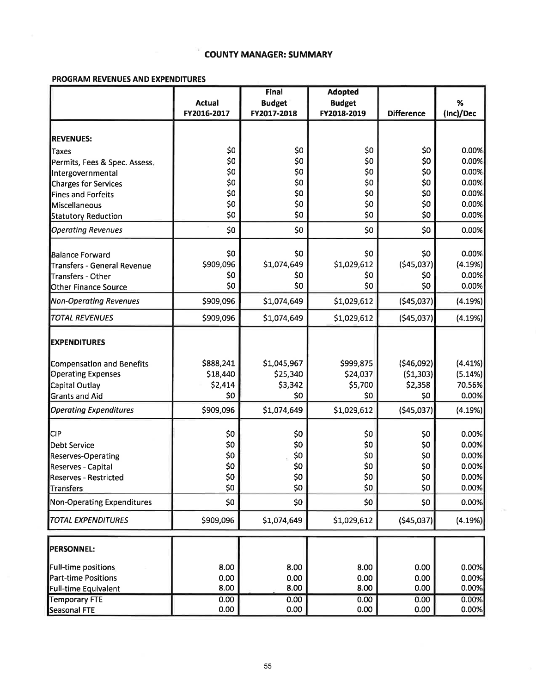### **COUNTY MANAGER: SUMMARY**

### PROGRAM REVENUES AND EXPENDITURES

|                                                       | Final         |               | <b>Adopted</b> |                   |                |
|-------------------------------------------------------|---------------|---------------|----------------|-------------------|----------------|
|                                                       | <b>Actual</b> | <b>Budget</b> | <b>Budget</b>  |                   | %              |
|                                                       | FY2016-2017   | FY2017-2018   | FY2018-2019    | <b>Difference</b> | (Inc)/Dec      |
|                                                       |               |               |                |                   |                |
| <b>REVENUES:</b>                                      |               |               |                |                   |                |
| Taxes                                                 | \$0           | \$0           | \$0            | \$0               | 0.00%          |
| Permits, Fees & Spec. Assess.                         | \$0           | \$0           | \$0            | \$0               | 0.00%          |
| Intergovernmental                                     | \$0           | \$0           | \$0            | \$0               | 0.00%          |
| <b>Charges for Services</b>                           | \$0           | \$0           | \$0            | \$0               | 0.00%          |
| <b>Fines and Forfeits</b>                             | \$0           | \$0           | \$0            | \$0               | 0.00%          |
| Miscellaneous                                         | \$0           | \$0           | \$0            | \$0               | 0.00%          |
| <b>Statutory Reduction</b>                            | \$0           | \$0           | \$0            | \$0               | 0.00%          |
| <b>Operating Revenues</b>                             | \$0           | \$0           | \$0            | \$0               | 0.00%          |
| Balance Forward                                       | \$0           | \$0           | \$0            | \$0               | 0.00%          |
| Transfers - General Revenue                           | \$909,096     | \$1,074,649   | \$1,029,612    | (545,037)         | (4.19%)        |
| Transfers - Other                                     | \$0           | \$0           | \$0            | \$0               | 0.00%          |
| Other Finance Source                                  | \$0           | \$0           | \$0            | \$0               | 0.00%          |
| <b>Non-Operating Revenues</b>                         | \$909,096     | \$1,074,649   | \$1,029,612    | (545,037)         | (4.19%)        |
| <b>TOTAL REVENUES</b>                                 | \$909,096     | \$1,074,649   | \$1,029,612    | ( \$45,037]       | (4.19%)        |
| <b>EXPENDITURES</b>                                   |               |               |                |                   |                |
| Compensation and Benefits                             | \$888,241     | \$1,045,967   | \$999,875      | (546,092)         | (4.41%)        |
| <b>Operating Expenses</b>                             | \$18,440      | \$25,340      | \$24,037       | (51, 303)         | (5.14%)        |
| Capital Outlay                                        | \$2,414       | \$3,342       | \$5,700        | \$2,358           | 70.56%         |
| <b>Grants and Aid</b>                                 | \$0           | \$0           | \$0            | \$0               | 0.00%          |
| <b>Operating Expenditures</b>                         | \$909,096     | \$1,074,649   | \$1,029,612    | ( \$45,037)       | (4.19%)        |
| <b>CIP</b>                                            |               |               |                |                   |                |
|                                                       | \$0           | \$0           | \$0            | \$0<br>\$0        | 0.00%          |
| <b>Debt Service</b>                                   | \$0           | \$0           | \$0            |                   | 0.00%<br>0.00% |
| <b>Reserves-Operating</b>                             | \$0<br>\$0    | \$0           | \$0            | \$0<br>\$0        | 0.00%          |
| Reserves - Capital                                    |               | \$0           | \$0            |                   | 0.00%          |
| Reserves - Restricted                                 | \$0<br>\$0    | \$0<br>\$0    | \$0<br>\$0     | \$0<br>\$0        | 0.00%          |
| <b>Transfers</b><br><b>Non-Operating Expenditures</b> | \$0           | \$0           | \$0            | \$0               | 0.00%          |
| <b>TOTAL EXPENDITURES</b>                             | \$909,096     | \$1,074,649   | \$1,029,612    | ( \$45,037)       | (4.19%)        |
|                                                       |               |               |                |                   |                |
| <b>PERSONNEL:</b>                                     |               |               |                |                   |                |
| Full-time positions                                   | 8.00          | 8.00          | 8.00           | 0.00              | 0.00%          |
| <b>Part-time Positions</b>                            | 0.00          | 0.00          | 0.00           | 0.00              | 0.00%          |
| <b>Full-time Equivalent</b>                           | 8.00          | 8.00          | 8.00           | 0.00              | 0.00%          |
| <b>Temporary FTE</b>                                  | 0.00          | 0.00          | 0.00           | 0.00              | 0.00%          |
| <b>Seasonal FTE</b>                                   | 0.00          | 0.00          | 0.00           | 0.00              | 0.00%          |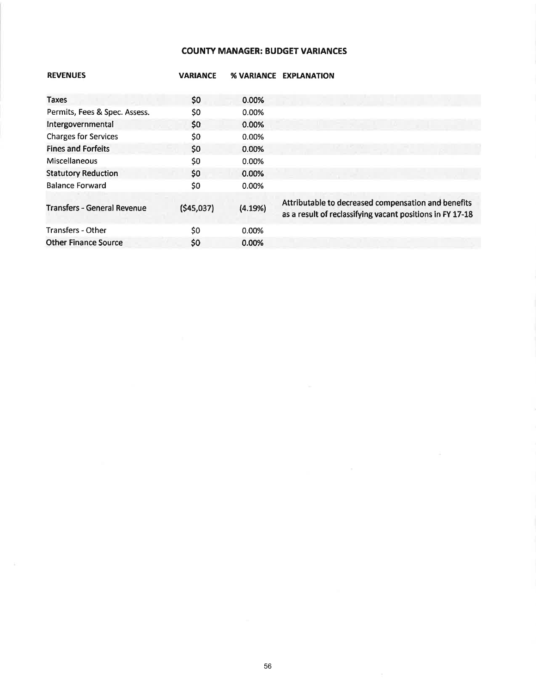## COUNTV MANAGER: BUDGET VARIANCES

| <b>REVENUES</b>                    | <b>VARIANCE</b> | <b>% VARIANCE</b> | <b>EXPLANATION</b>                                                                                               |
|------------------------------------|-----------------|-------------------|------------------------------------------------------------------------------------------------------------------|
| Taxes                              | \$0             | 0.00%             |                                                                                                                  |
| Permits, Fees & Spec. Assess.      | \$0             | 0.00%             |                                                                                                                  |
| Intergovernmental                  | \$0\$           | 0.00%             |                                                                                                                  |
| <b>Charges for Services</b>        | \$0             | 0.00%             |                                                                                                                  |
| <b>Fines and Forfeits</b>          | \$0             | 0.00%             |                                                                                                                  |
| <b>Miscellaneous</b>               | \$0             | 0.00%             |                                                                                                                  |
| <b>Statutory Reduction</b>         | \$0             | 0.00%             |                                                                                                                  |
| <b>Balance Forward</b>             | \$0             | 0.00%             |                                                                                                                  |
| <b>Transfers - General Revenue</b> | (\$45,037)      | (4.19%)           | Attributable to decreased compensation and benefits<br>as a result of reclassifying vacant positions in FY 17-18 |
| <b>Transfers - Other</b>           | \$0             | 0.00%             |                                                                                                                  |
| <b>Other Finance Source</b>        | \$0             | 0.00%             |                                                                                                                  |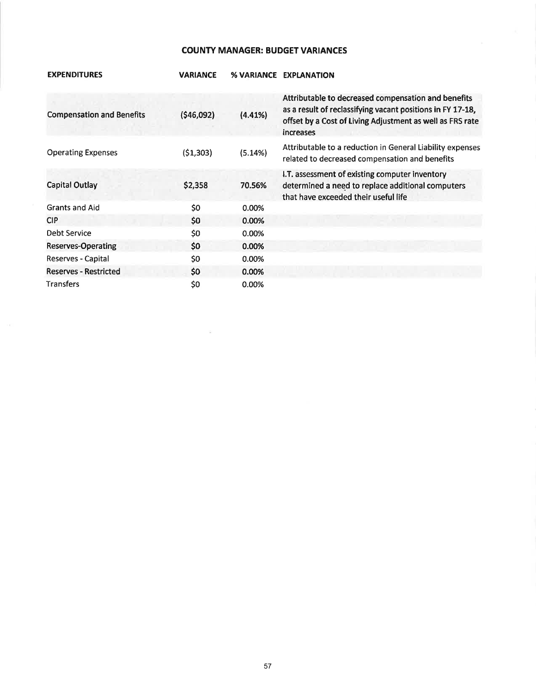### **COUNTY MANAGER: BUDGET VARIANCES**

| <b>EXPENDITURES</b>              | <b>VARIANCE</b> |          | <b>% VARIANCE EXPLANATION</b>                                                                                                                                                               |
|----------------------------------|-----------------|----------|---------------------------------------------------------------------------------------------------------------------------------------------------------------------------------------------|
| <b>Compensation and Benefits</b> | (\$46,092)      | (4.41%)  | Attributable to decreased compensation and benefits<br>as a result of reclassifying vacant positions in FY 17-18,<br>offset by a Cost of Living Adjustment as well as FRS rate<br>increases |
| <b>Operating Expenses</b>        | (51, 303)       | (5.14%)  | Attributable to a reduction in General Liability expenses<br>related to decreased compensation and benefits                                                                                 |
| <b>Capital Outlay</b>            | \$2,358         | 70.56%   | I.T. assessment of existing computer inventory<br>determined a need to replace additional computers<br>that have exceeded their useful life                                                 |
| <b>Grants and Aid</b>            | \$0             | 0.00%    |                                                                                                                                                                                             |
| <b>CIP</b>                       | \$0             | 0.00%    |                                                                                                                                                                                             |
| Debt Service                     | \$0             | 0.00%    |                                                                                                                                                                                             |
| <b>Reserves-Operating</b>        | \$0             | 0.00%    |                                                                                                                                                                                             |
| Reserves - Capital               | \$0             | 0.00%    |                                                                                                                                                                                             |
| <b>Reserves - Restricted</b>     | \$0             | 0.00%    |                                                                                                                                                                                             |
| Transfers                        | \$0             | $0.00\%$ |                                                                                                                                                                                             |

 $\sim$